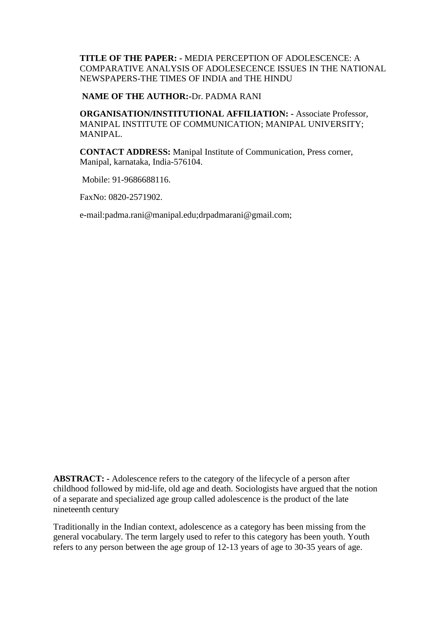**TITLE OF THE PAPER: -** MEDIA PERCEPTION OF ADOLESCENCE: A COMPARATIVE ANALYSIS OF ADOLESECENCE ISSUES IN THE NATIONAL NEWSPAPERS-THE TIMES OF INDIA and THE HINDU

#### **NAME OF THE AUTHOR:-**Dr. PADMA RANI

**ORGANISATION/INSTITUTIONAL AFFILIATION: -** Associate Professor, MANIPAL INSTITUTE OF COMMUNICATION; MANIPAL UNIVERSITY; MANIPAL.

**CONTACT ADDRESS:** Manipal Institute of Communication, Press corner, Manipal, karnataka, India-576104.

Mobile: 91-9686688116.

FaxNo: 0820-2571902.

e-mail:padma.rani@manipal.edu;drpadmarani@gmail.com;

**ABSTRACT: -** Adolescence refers to the category of the lifecycle of a person after childhood followed by mid-life, old age and death. Sociologists have argued that the notion of a separate and specialized age group called adolescence is the product of the late nineteenth century

Traditionally in the Indian context, adolescence as a category has been missing from the general vocabulary. The term largely used to refer to this category has been youth. Youth refers to any person between the age group of 12-13 years of age to 30-35 years of age.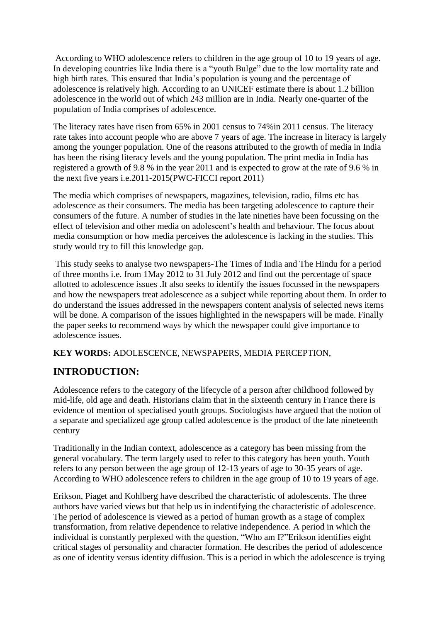According to WHO adolescence refers to children in the age group of 10 to 19 years of age. In developing countries like India there is a "youth Bulge" due to the low mortality rate and high birth rates. This ensured that India's population is young and the percentage of adolescence is relatively high. According to an UNICEF estimate there is about 1.2 billion adolescence in the world out of which 243 million are in India. Nearly one-quarter of the population of India comprises of adolescence.

The literacy rates have risen from 65% in 2001 census to 74%in 2011 census. The literacy rate takes into account people who are above 7 years of age. The increase in literacy is largely among the younger population. One of the reasons attributed to the growth of media in India has been the rising literacy levels and the young population. The print media in India has registered a growth of 9.8 % in the year 2011 and is expected to grow at the rate of 9.6 % in the next five years i.e.2011-2015(PWC-FICCI report 2011)

The media which comprises of newspapers, magazines, television, radio, films etc has adolescence as their consumers. The media has been targeting adolescence to capture their consumers of the future. A number of studies in the late nineties have been focussing on the effect of television and other media on adolescent's health and behaviour. The focus about media consumption or how media perceives the adolescence is lacking in the studies. This study would try to fill this knowledge gap.

This study seeks to analyse two newspapers-The Times of India and The Hindu for a period of three months i.e. from 1May 2012 to 31 July 2012 and find out the percentage of space allotted to adolescence issues .It also seeks to identify the issues focussed in the newspapers and how the newspapers treat adolescence as a subject while reporting about them. In order to do understand the issues addressed in the newspapers content analysis of selected news items will be done. A comparison of the issues highlighted in the newspapers will be made. Finally the paper seeks to recommend ways by which the newspaper could give importance to adolescence issues.

**KEY WORDS:** ADOLESCENCE, NEWSPAPERS, MEDIA PERCEPTION,

# **INTRODUCTION:**

Adolescence refers to the category of the lifecycle of a person after childhood followed by mid-life, old age and death. Historians claim that in the sixteenth century in France there is evidence of mention of specialised youth groups. Sociologists have argued that the notion of a separate and specialized age group called adolescence is the product of the late nineteenth century

Traditionally in the Indian context, adolescence as a category has been missing from the general vocabulary. The term largely used to refer to this category has been youth. Youth refers to any person between the age group of 12-13 years of age to 30-35 years of age. According to WHO adolescence refers to children in the age group of 10 to 19 years of age.

Erikson, Piaget and Kohlberg have described the characteristic of adolescents. The three authors have varied views but that help us in indentifying the characteristic of adolescence. The period of adolescence is viewed as a period of human growth as a stage of complex transformation, from relative dependence to relative independence. A period in which the individual is constantly perplexed with the question, "Who am I?"Erikson identifies eight critical stages of personality and character formation. He describes the period of adolescence as one of identity versus identity diffusion. This is a period in which the adolescence is trying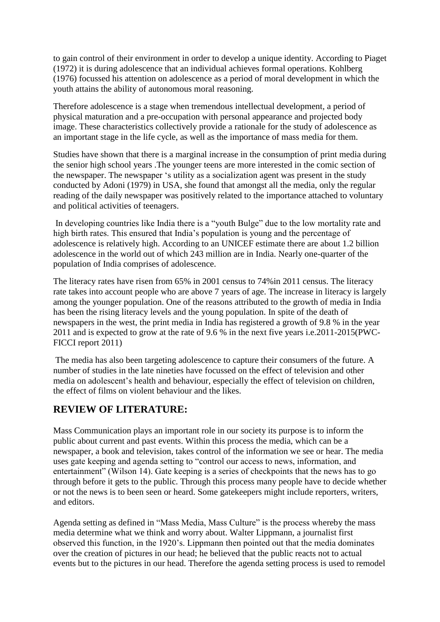to gain control of their environment in order to develop a unique identity. According to Piaget (1972) it is during adolescence that an individual achieves formal operations. Kohlberg (1976) focussed his attention on adolescence as a period of moral development in which the youth attains the ability of autonomous moral reasoning.

Therefore adolescence is a stage when tremendous intellectual development, a period of physical maturation and a pre-occupation with personal appearance and projected body image. These characteristics collectively provide a rationale for the study of adolescence as an important stage in the life cycle, as well as the importance of mass media for them.

Studies have shown that there is a marginal increase in the consumption of print media during the senior high school years .The younger teens are more interested in the comic section of the newspaper. The newspaper 's utility as a socialization agent was present in the study conducted by Adoni (1979) in USA, she found that amongst all the media, only the regular reading of the daily newspaper was positively related to the importance attached to voluntary and political activities of teenagers.

In developing countries like India there is a "youth Bulge" due to the low mortality rate and high birth rates. This ensured that India's population is young and the percentage of adolescence is relatively high. According to an UNICEF estimate there are about 1.2 billion adolescence in the world out of which 243 million are in India. Nearly one-quarter of the population of India comprises of adolescence.

The literacy rates have risen from 65% in 2001 census to 74%in 2011 census. The literacy rate takes into account people who are above 7 years of age. The increase in literacy is largely among the younger population. One of the reasons attributed to the growth of media in India has been the rising literacy levels and the young population. In spite of the death of newspapers in the west, the print media in India has registered a growth of 9.8 % in the year 2011 and is expected to grow at the rate of 9.6 % in the next five years i.e.2011-2015(PWC-FICCI report 2011)

The media has also been targeting adolescence to capture their consumers of the future. A number of studies in the late nineties have focussed on the effect of television and other media on adolescent's health and behaviour, especially the effect of television on children, the effect of films on violent behaviour and the likes.

# **REVIEW OF LITERATURE:**

Mass Communication plays an important role in our society its purpose is to inform the public about current and past events. Within this process the media, which can be a newspaper, a book and television, takes control of the information we see or hear. The media uses gate keeping and agenda setting to "control our access to news, information, and entertainment" (Wilson 14). Gate keeping is a series of checkpoints that the news has to go through before it gets to the public. Through this process many people have to decide whether or not the news is to been seen or heard. Some gatekeepers might include reporters, writers, and editors.

Agenda setting as defined in "Mass Media, Mass Culture" is the process whereby the mass media determine what we think and worry about. Walter Lippmann, a journalist first observed this function, in the 1920's. Lippmann then pointed out that the media dominates over the creation of pictures in our head; he believed that the public reacts not to actual events but to the pictures in our head. Therefore the agenda setting process is used to remodel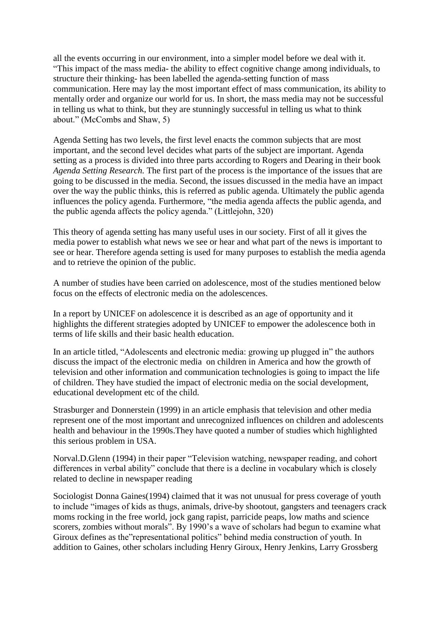all the events occurring in our environment, into a simpler model before we deal with it. ―This impact of the mass media- the ability to effect cognitive change among individuals, to structure their thinking- has been labelled the agenda-setting function of mass communication. Here may lay the most important effect of mass communication, its ability to mentally order and organize our world for us. In short, the mass media may not be successful in telling us what to think, but they are stunningly successful in telling us what to think about." (McCombs and Shaw, 5)

Agenda Setting has two levels*,* the first level enacts the common subjects that are most important, and the second level decides what parts of the subject are important. Agenda setting as a process is divided into three parts according to Rogers and Dearing in their book *Agenda Setting Research.* The first part of the process is the importance of the issues that are going to be discussed in the media. Second, the issues discussed in the media have an impact over the way the public thinks, this is referred as public agenda. Ultimately the public agenda influences the policy agenda. Furthermore, "the media agenda affects the public agenda, and the public agenda affects the policy agenda." (Littlejohn, 320)

This theory of agenda setting has many useful uses in our society. First of all it gives the media power to establish what news we see or hear and what part of the news is important to see or hear. Therefore agenda setting is used for many purposes to establish the media agenda and to retrieve the opinion of the public.

A number of studies have been carried on adolescence, most of the studies mentioned below focus on the effects of electronic media on the adolescences.

In a report by UNICEF on adolescence it is described as an age of opportunity and it highlights the different strategies adopted by UNICEF to empower the adolescence both in terms of life skills and their basic health education.

In an article titled, "Adolescents and electronic media: growing up plugged in" the authors discuss the impact of the electronic media on children in America and how the growth of television and other information and communication technologies is going to impact the life of children. They have studied the impact of electronic media on the social development, educational development etc of the child.

Strasburger and Donnerstein (1999) in an article emphasis that television and other media represent one of the most important and unrecognized influences on children and adolescents health and behaviour in the 1990s.They have quoted a number of studies which highlighted this serious problem in USA.

Norval.D.Glenn (1994) in their paper "Television watching, newspaper reading, and cohort differences in verbal ability" conclude that there is a decline in vocabulary which is closely related to decline in newspaper reading

Sociologist Donna Gaines(1994) claimed that it was not unusual for press coverage of youth to include "images of kids as thugs, animals, drive-by shootout, gangsters and teenagers crack moms rocking in the free world, jock gang rapist, parricide peaps, low maths and science scorers, zombies without morals". By 1990's a wave of scholars had begun to examine what Giroux defines as the "representational politics" behind media construction of youth. In addition to Gaines, other scholars including Henry Giroux, Henry Jenkins, Larry Grossberg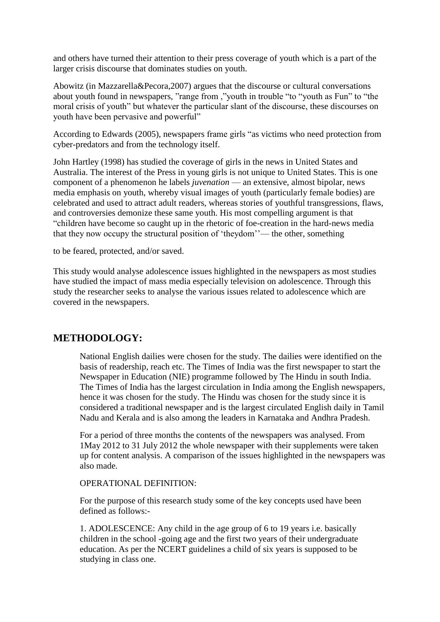and others have turned their attention to their press coverage of youth which is a part of the larger crisis discourse that dominates studies on youth.

Abowitz (in Mazzarella&Pecora,2007) argues that the discourse or cultural conversations about youth found in newspapers, "range from ,"youth in trouble "to "youth as Fun" to "the moral crisis of youth" but whatever the particular slant of the discourse, these discourses on youth have been pervasive and powerful"

According to Edwards (2005), newspapers frame girls "as victims who need protection from cyber-predators and from the technology itself.

John Hartley (1998) has studied the coverage of girls in the news in United States and Australia. The interest of the Press in young girls is not unique to United States. This is one component of a phenomenon he labels *juvenation* — an extensive, almost bipolar, news media emphasis on youth, whereby visual images of youth (particularly female bodies) are celebrated and used to attract adult readers, whereas stories of youthful transgressions, flaws, and controversies demonize these same youth. His most compelling argument is that ―children have become so caught up in the rhetoric of foe-creation in the hard-news media that they now occupy the structural position of 'theydom''— the other, something

to be feared, protected, and/or saved.

This study would analyse adolescence issues highlighted in the newspapers as most studies have studied the impact of mass media especially television on adolescence. Through this study the researcher seeks to analyse the various issues related to adolescence which are covered in the newspapers.

# **METHODOLOGY:**

National English dailies were chosen for the study. The dailies were identified on the basis of readership, reach etc. The Times of India was the first newspaper to start the Newspaper in Education (NIE) programme followed by The Hindu in south India. The Times of India has the largest circulation in India among the English newspapers, hence it was chosen for the study. The Hindu was chosen for the study since it is considered a traditional newspaper and is the largest circulated English daily in Tamil Nadu and Kerala and is also among the leaders in Karnataka and Andhra Pradesh.

For a period of three months the contents of the newspapers was analysed. From 1May 2012 to 31 July 2012 the whole newspaper with their supplements were taken up for content analysis. A comparison of the issues highlighted in the newspapers was also made.

#### OPERATIONAL DEFINITION:

For the purpose of this research study some of the key concepts used have been defined as follows:-

1. ADOLESCENCE: Any child in the age group of 6 to 19 years i.e. basically children in the school -going age and the first two years of their undergraduate education. As per the NCERT guidelines a child of six years is supposed to be studying in class one.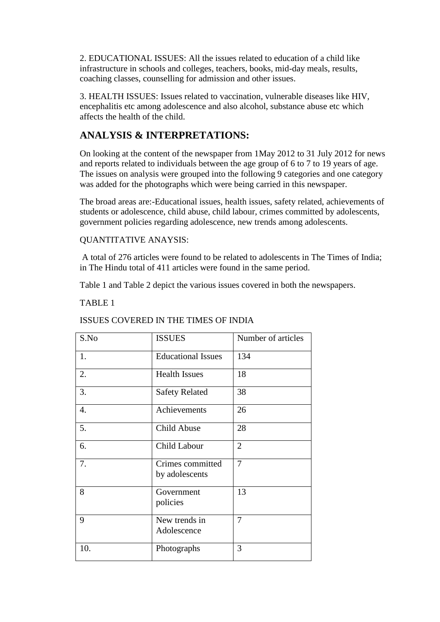2. EDUCATIONAL ISSUES: All the issues related to education of a child like infrastructure in schools and colleges, teachers, books, mid-day meals, results, coaching classes, counselling for admission and other issues.

3. HEALTH ISSUES: Issues related to vaccination, vulnerable diseases like HIV, encephalitis etc among adolescence and also alcohol, substance abuse etc which affects the health of the child.

# **ANALYSIS & INTERPRETATIONS:**

On looking at the content of the newspaper from 1May 2012 to 31 July 2012 for news and reports related to individuals between the age group of 6 to 7 to 19 years of age. The issues on analysis were grouped into the following 9 categories and one category was added for the photographs which were being carried in this newspaper.

The broad areas are:-Educational issues, health issues, safety related, achievements of students or adolescence, child abuse, child labour, crimes committed by adolescents, government policies regarding adolescence, new trends among adolescents.

### QUANTITATIVE ANAYSIS:

A total of 276 articles were found to be related to adolescents in The Times of India; in The Hindu total of 411 articles were found in the same period.

Table 1 and Table 2 depict the various issues covered in both the newspapers.

### TABLE 1

#### ISSUES COVERED IN THE TIMES OF INDIA

| S.No | <b>ISSUES</b>                      | Number of articles |
|------|------------------------------------|--------------------|
| 1.   | <b>Educational Issues</b>          | 134                |
| 2.   | <b>Health Issues</b>               | 18                 |
| 3.   | <b>Safety Related</b>              | 38                 |
| 4.   | Achievements                       | 26                 |
| 5.   | Child Abuse                        | 28                 |
| 6.   | Child Labour                       | $\overline{2}$     |
| 7.   | Crimes committed<br>by adolescents | 7                  |
| 8    | Government<br>policies             | 13                 |
| 9    | New trends in<br>Adolescence       | 7                  |
| 10.  | Photographs                        | 3                  |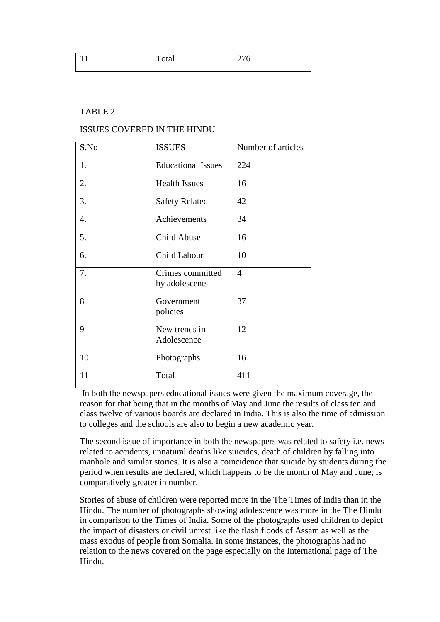| - - | <u>i</u> vui | ັ<br>-- |
|-----|--------------|---------|
|     |              |         |

### TABLE 2

#### ISSUES COVERED IN THE HINDU

| S.No | <b>ISSUES</b>                      | Number of articles |
|------|------------------------------------|--------------------|
| 1.   | <b>Educational Issues</b>          | 224                |
| 2.   | <b>Health Issues</b>               | 16                 |
| 3.   | <b>Safety Related</b>              | 42                 |
| 4.   | Achievements                       | 34                 |
| 5.   | Child Abuse                        | 16                 |
| 6.   | Child Labour                       | 10                 |
| 7.   | Crimes committed<br>by adolescents | $\overline{4}$     |
| 8    | Government<br>policies             | 37                 |
| 9    | New trends in<br>Adolescence       | 12                 |
| 10.  | Photographs                        | 16                 |
| 11   | Total                              | 411                |

In both the newspapers educational issues were given the maximum coverage, the reason for that being that in the months of May and June the results of class ten and class twelve of various boards are declared in India. This is also the time of admission to colleges and the schools are also to begin a new academic year.

The second issue of importance in both the newspapers was related to safety i.e. news related to accidents, unnatural deaths like suicides, death of children by falling into manhole and similar stories. It is also a coincidence that suicide by students during the period when results are declared, which happens to be the month of May and June; is comparatively greater in number.

Stories of abuse of children were reported more in the The Times of India than in the Hindu. The number of photographs showing adolescence was more in the The Hindu in comparison to the Times of India. Some of the photographs used children to depict the impact of disasters or civil unrest like the flash floods of Assam as well as the mass exodus of people from Somalia. In some instances, the photographs had no relation to the news covered on the page especially on the International page of The Hindu.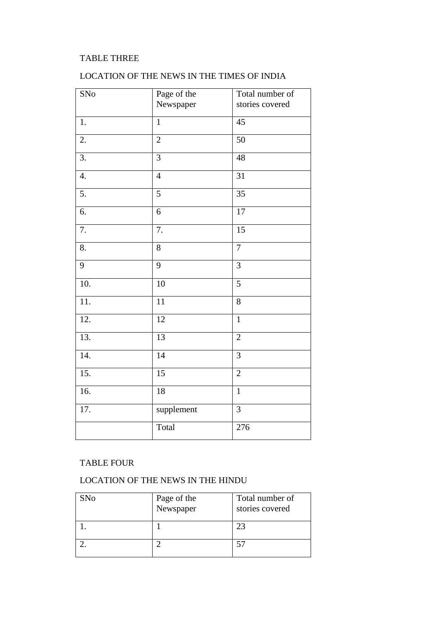## TABLE THREE

## LOCATION OF THE NEWS IN THE TIMES OF INDIA

| SNo               | Page of the     | Total number of |
|-------------------|-----------------|-----------------|
|                   | Newspaper       | stories covered |
|                   |                 |                 |
| 1.                | $\mathbf{1}$    | 45              |
| 2.                | $\overline{2}$  | 50              |
|                   |                 |                 |
| 3.                | $\overline{3}$  | 48              |
|                   |                 |                 |
| 4.                | $\overline{4}$  | 31              |
| 5.                | $\overline{5}$  | $\overline{35}$ |
|                   |                 |                 |
| 6.                | 6               | 17              |
|                   |                 |                 |
| 7.                | 7.              | 15              |
| 8.                | 8               | $\overline{7}$  |
|                   |                 |                 |
| 9                 | 9               | 3               |
|                   |                 |                 |
| 10.               | 10              | $\overline{5}$  |
| 11.               | 11              | 8               |
|                   |                 |                 |
| 12.               | 12              | $\mathbf{1}$    |
|                   |                 |                 |
| 13.               | $\overline{1}3$ | $\overline{2}$  |
| 14.               | 14              | 3               |
|                   |                 |                 |
| $\overline{15}$ . | 15              | $\overline{2}$  |
|                   |                 |                 |
| 16.               | 18              | $\mathbf{1}$    |
| 17.               | supplement      | $\overline{3}$  |
|                   |                 |                 |
|                   | Total           | 276             |
|                   |                 |                 |

### TABLE FOUR

### LOCATION OF THE NEWS IN THE HINDU

| SNo | Page of the<br>Newspaper | Total number of<br>stories covered |
|-----|--------------------------|------------------------------------|
|     |                          | 23                                 |
|     |                          |                                    |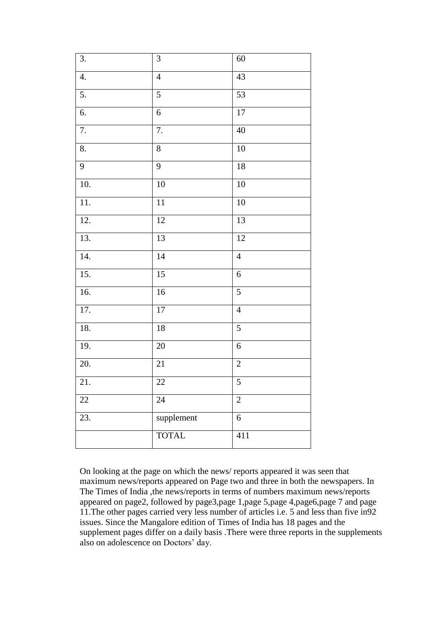| 3.             | $\mathfrak{Z}$ | 60               |
|----------------|----------------|------------------|
| 4.             | $\overline{4}$ | 43               |
| 5.             | $\sqrt{5}$     | 53               |
| 6.             | $\sqrt{6}$     | $17\,$           |
| 7.             | 7.             | $40\,$           |
| 8.             | $8\,$          | 10               |
| $\overline{9}$ | $\overline{9}$ | 18               |
| 10.            | $10\,$         | 10               |
| 11.            | $11\,$         | 10               |
| 12.            | $12\,$         | 13               |
| 13.            | 13             | 12               |
| 14.            | 14             | $\overline{4}$   |
| 15.            | 15             | $\sqrt{6}$       |
| 16.            | $16$           | $\mathfrak{S}$   |
| 17.            | $17\,$         | $\overline{4}$   |
| 18.            | $18\,$         | $\mathfrak{S}$   |
| 19.            | $20\,$         | $\boldsymbol{6}$ |
| 20.            | $21\,$         | $\mathbf{2}$     |
| 21.            | 22             | 5                |
| $22\,$         | 24             | $\overline{2}$   |
| 23.            | supplement     | $\boldsymbol{6}$ |
|                | <b>TOTAL</b>   | 411              |

On looking at the page on which the news/ reports appeared it was seen that maximum news/reports appeared on Page two and three in both the newspapers. In The Times of India ,the news/reports in terms of numbers maximum news/reports appeared on page2, followed by page3,page 1,page 5,page 4,page6,page 7 and page 11.The other pages carried very less number of articles i.e. 5 and less than five in92 issues. Since the Mangalore edition of Times of India has 18 pages and the supplement pages differ on a daily basis .There were three reports in the supplements also on adolescence on Doctors' day.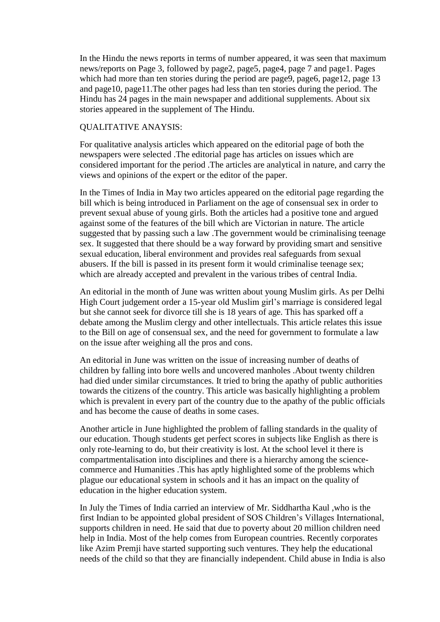In the Hindu the news reports in terms of number appeared, it was seen that maximum news/reports on Page 3, followed by page2, page5, page4, page 7 and page1. Pages which had more than ten stories during the period are page9, page6, page12, page 13 and page10, page11.The other pages had less than ten stories during the period. The Hindu has 24 pages in the main newspaper and additional supplements. About six stories appeared in the supplement of The Hindu.

#### QUALITATIVE ANAYSIS:

For qualitative analysis articles which appeared on the editorial page of both the newspapers were selected .The editorial page has articles on issues which are considered important for the period .The articles are analytical in nature, and carry the views and opinions of the expert or the editor of the paper.

In the Times of India in May two articles appeared on the editorial page regarding the bill which is being introduced in Parliament on the age of consensual sex in order to prevent sexual abuse of young girls. Both the articles had a positive tone and argued against some of the features of the bill which are Victorian in nature. The article suggested that by passing such a law .The government would be criminalising teenage sex. It suggested that there should be a way forward by providing smart and sensitive sexual education, liberal environment and provides real safeguards from sexual abusers. If the bill is passed in its present form it would criminalise teenage sex; which are already accepted and prevalent in the various tribes of central India.

An editorial in the month of June was written about young Muslim girls. As per Delhi High Court judgement order a 15-year old Muslim girl's marriage is considered legal but she cannot seek for divorce till she is 18 years of age. This has sparked off a debate among the Muslim clergy and other intellectuals. This article relates this issue to the Bill on age of consensual sex, and the need for government to formulate a law on the issue after weighing all the pros and cons.

An editorial in June was written on the issue of increasing number of deaths of children by falling into bore wells and uncovered manholes .About twenty children had died under similar circumstances. It tried to bring the apathy of public authorities towards the citizens of the country. This article was basically highlighting a problem which is prevalent in every part of the country due to the apathy of the public officials and has become the cause of deaths in some cases.

Another article in June highlighted the problem of falling standards in the quality of our education. Though students get perfect scores in subjects like English as there is only rote-learning to do, but their creativity is lost. At the school level it there is compartmentalisation into disciplines and there is a hierarchy among the sciencecommerce and Humanities .This has aptly highlighted some of the problems which plague our educational system in schools and it has an impact on the quality of education in the higher education system.

In July the Times of India carried an interview of Mr. Siddhartha Kaul ,who is the first Indian to be appointed global president of SOS Children's Villages International, supports children in need. He said that due to poverty about 20 million children need help in India. Most of the help comes from European countries. Recently corporates like Azim Premji have started supporting such ventures. They help the educational needs of the child so that they are financially independent. Child abuse in India is also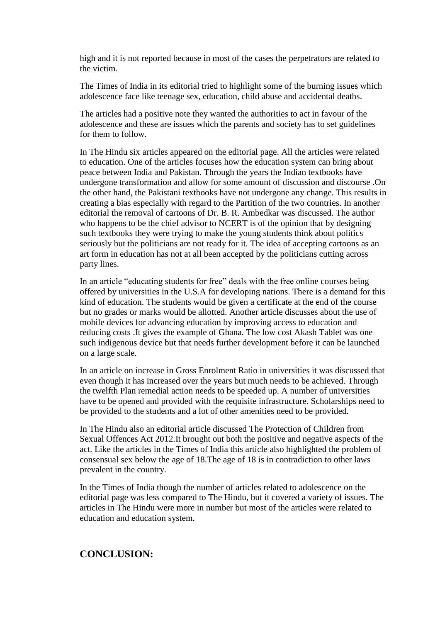high and it is not reported because in most of the cases the perpetrators are related to the victim.

The Times of India in its editorial tried to highlight some of the burning issues which adolescence face like teenage sex, education, child abuse and accidental deaths.

The articles had a positive note they wanted the authorities to act in favour of the adolescence and these are issues which the parents and society has to set guidelines for them to follow.

In The Hindu six articles appeared on the editorial page. All the articles were related to education. One of the articles focuses how the education system can bring about peace between India and Pakistan. Through the years the Indian textbooks have undergone transformation and allow for some amount of discussion and discourse .On the other hand, the Pakistani textbooks have not undergone any change. This results in creating a bias especially with regard to the Partition of the two countries. In another editorial the removal of cartoons of Dr. B. R. Ambedkar was discussed. The author who happens to be the chief advisor to NCERT is of the opinion that by designing such textbooks they were trying to make the young students think about politics seriously but the politicians are not ready for it. The idea of accepting cartoons as an art form in education has not at all been accepted by the politicians cutting across party lines.

In an article "educating students for free" deals with the free online courses being offered by universities in the U.S.A for developing nations. There is a demand for this kind of education. The students would be given a certificate at the end of the course but no grades or marks would be allotted. Another article discusses about the use of mobile devices for advancing education by improving access to education and reducing costs .It gives the example of Ghana. The low cost Akash Tablet was one such indigenous device but that needs further development before it can be launched on a large scale.

In an article on increase in Gross Enrolment Ratio in universities it was discussed that even though it has increased over the years but much needs to be achieved. Through the twelfth Plan remedial action needs to be speeded up. A number of universities have to be opened and provided with the requisite infrastructure. Scholarships need to be provided to the students and a lot of other amenities need to be provided.

In The Hindu also an editorial article discussed The Protection of Children from Sexual Offences Act 2012.It brought out both the positive and negative aspects of the act. Like the articles in the Times of India this article also highlighted the problem of consensual sex below the age of 18.The age of 18 is in contradiction to other laws prevalent in the country.

In the Times of India though the number of articles related to adolescence on the editorial page was less compared to The Hindu, but it covered a variety of issues. The articles in The Hindu were more in number but most of the articles were related to education and education system.

### **CONCLUSION:**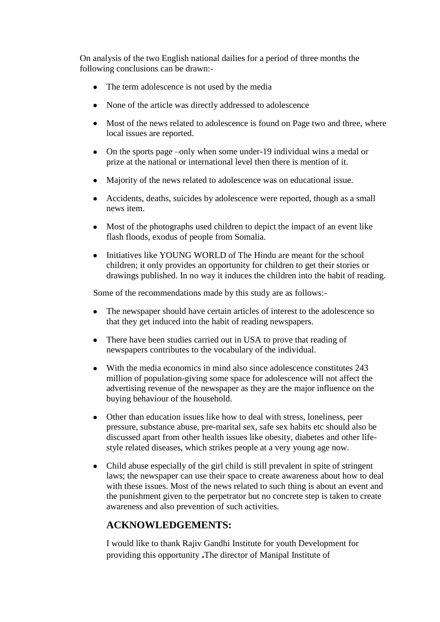On analysis of the two English national dailies for a period of three months the following conclusions can be drawn:-

- The term adolescence is not used by the media
- None of the article was directly addressed to adolescence
- Most of the news related to adolescence is found on Page two and three, where local issues are reported.
- On the sports page –only when some under-19 individual wins a medal or prize at the national or international level then there is mention of it.
- Majority of the news related to adolescence was on educational issue.
- Accidents, deaths, suicides by adolescence were reported, though as a small news item.
- Most of the photographs used children to depict the impact of an event like flash floods, exodus of people from Somalia.
- Initiatives like YOUNG WORLD of The Hindu are meant for the school children; it only provides an opportunity for children to get their stories or drawings published. In no way it induces the children into the habit of reading.

Some of the recommendations made by this study are as follows:-

- The newspaper should have certain articles of interest to the adolescence so that they get induced into the habit of reading newspapers.
- There have been studies carried out in USA to prove that reading of newspapers contributes to the vocabulary of the individual.
- With the media economics in mind also since adolescence constitutes 243 million of population-giving some space for adolescence will not affect the advertising revenue of the newspaper as they are the major influence on the buying behaviour of the household.
- Other than education issues like how to deal with stress, loneliness, peer pressure, substance abuse, pre-marital sex, safe sex habits etc should also be discussed apart from other health issues like obesity, diabetes and other lifestyle related diseases, which strikes people at a very young age now.
- Child abuse especially of the girl child is still prevalent in spite of stringent laws; the newspaper can use their space to create awareness about how to deal with these issues. Most of the news related to such thing is about an event and the punishment given to the perpetrator but no concrete step is taken to create awareness and also prevention of such activities.

# **ACKNOWLEDGEMENTS:**

I would like to thank Rajiv Gandhi Institute for youth Development for providing this opportunity **.**The director of Manipal Institute of